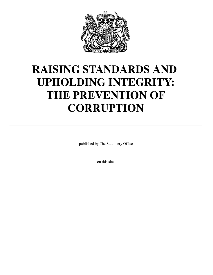

# **RAISING STANDARDS AND UPHOLDING INTEGRITY: THE PREVENTION OF CORRUPTION**

published by The Stationery Office

on this site.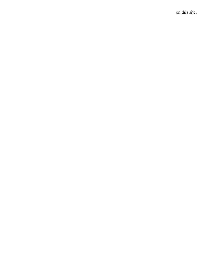on this site.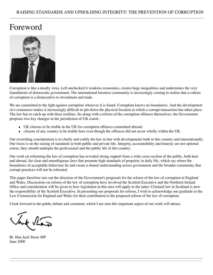### Foreword



Corruption is like a deadly virus. Left unchecked it weakens economies, creates huge inequalities and undermines the very foundations of democratic government. The international business community is increasingly coming to realise that a culture of corruption is a disincentive to investment and trade.

We are committed to the fight against corruption wherever it is found. Corruption knows no boundaries. And the development of e-commerce makes it increasingly difficult to pin down the physical location at which a corrupt transaction has taken place. The law has to catch up with these realities. So along with a reform of the corruption offences themselves, the Government proposes two key changes in the jurisdiction of UK courts:

- UK citizens to be triable in the UK for corruption offences committed abroad;
- citizens of any country to be triable here even though the offences did not occur wholly within the UK.

Our overriding consideration is to clarify and codify the law in line with developments both in this country and internationally. Our focus is on the raising of standards in both public and private life. Integrity, accountability and honesty are not optional extras; they should underpin the professional and the public life of this country.

Our work on reforming the law of corruption has revealed strong support from a wide cross-section of the public, both here and abroad, for clear and unambiguous laws that promote high standards of propriety in daily life, which say where the boundaries of acceptable behaviour lie and create a shared understanding across government and the broader community that corrupt practices will not be tolerated.

This paper therefore sets out the direction of the Government's proposals for the reform of the law of corruption in England and Wales. Discussions on reform of the law of corruption have involved the Scottish Executive and the Northern Ireland Office and consideration will be given to how legislation in this area will apply to the latter. Criminal law in Scotland is now the responsibility of the Scottish Executive. In presenting our proposals for reform, I wish to acknowledge our gratitude to the Law Commission for England and Wales for their contribution to the proposed reform of the law of corruption.

I look forward to the public debate and comment, which I am sure this important aspect of our work will attract.

Jack Sta

Rt. Hon Jack Straw MP June 2000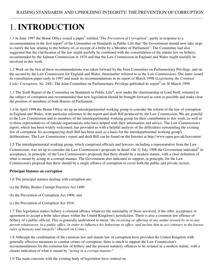### 1. **INTRODUCTION**

1.1 In June 1997 the Home Office issued a paper<sup>1</sup> entitled "*The Prevention of Corruption*", partly in response to a recommendation in the first report<sup>2</sup> of the Committee on Standards in Public Life that "the Government should now take steps to clarify the law relating to the bribery of, or receipt of a bribe by a Member of Parliament". The Committee had also suggested that the clarification of the law might usefully be combined with the consolidation of the statute law on bribery, recommended by the Salmon Commission in 1976 and that the Law Commission in England and Wales might usefully be involved in this work.

1.2 Work on the first of these recommendations was taken forward by the Joint Committee on Parliamentary Privilege, and on the second by the Law Commission for England and Wales, (hereinafter referred to as the Law Commission). The latter issued its consultation paper early in 1997 and made its recommendations in its report of March 1998 (*Legislating the Criminal Code: Corruption, No. 248*). The Joint Committee on Parliamentary Privilege published its report<sup>3</sup> on 30 March 1999.

1.3 The Sixth Report of the Committee on Standards in Public Life<sup>4</sup>, now under the chairmanship of Lord Neill, returned to the subject of corruption and recommended that new legislation should be brought forward as soon as possible and make clear the position of members of both Houses of Parliament.

1.4 In April 1998 the Home Office set up an interdepartmental working group to consider the reform of the law of corruption in England and Wales, with particular reference to the report and draft Bill produced by the Law Commission. We are grateful to the Law Commission and to members of the interdepartmental working group for their contribution to this work, as well as to those representatives of outside organisations who have helped with their information and advice. The Law Commission's report, which has been widely welcomed, has provided us with a helpful analysis of the difficulties surrounding the existing law of corruption. Its accompanying draft Bill has been used as a basis for the interdepartmental working group's deliberations. The Law Commission's report and draft Bill can be found on the Internet at http://www.open.gov.uk/lawcomm/

1.5 The interdepartmental working group, which comprised officials and lawyers, including a representative from the Law Commission, was set up to consider the Law Commission's proposals in detail. On 31 July 1998 the Government indicated<sup>5</sup> its acceptance, in principle, of the Law Commission's proposals that there should be a modern statute, with a clear definition of what is meant by acting in a corrupt manner. The Government also indicated its support, in principle, for the Law Commission's proposal that there should be a single offence of corruption to cover both the public and private sectors.

#### **Principal Statutes on corruption**

- 1.6 The principal statutes dealing with corruption are:
- (a) the Public Bodies Corrupt Practices Act 1889
- (b) the Prevention of Corruption Act 1906; and
- (c) the Prevention of Corruption Act 1916

1.7 This legislation makes bribery a criminal offence whatever the nationality of those involved, if the offer, acceptance or agreement to accept a bribe takes place within the United Kingdom's jurisdiction. There is also a common law offence of bribery of a public official. This is generally understood to mean "*the receiving or offering of any undue reward by or to any person whatsoever, in a public office, in order to influence his behaviour in office, and incline him to act contrary to the known rules of honesty and integrity" (Russell on Crime)*.

1.8 Although the combination of the common law and statute law of corruption have provided the United Kingdom with generally effective measures to combat crimes of corruption, there is much to support the Law Commission's recommendations for the common law of bribery and the present statutory offences to be restated in a modern statute, with a clearer indication of what is meant by "*acting in a corrupt manner.*"

1.9 The main concerns with the existing body of legislation have centred on: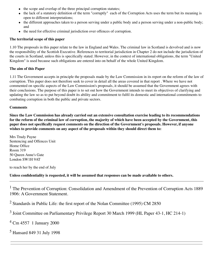- $\bullet$  the scope and overlap of the three principal corruption statutes;
- the lack of a statutory definition of the term "corruptly" each of the Corruption Acts uses the term but its meaning is open to different interpretations;
- the different approaches taken to a person serving under a public body and a person serving under a non-public body; and
- the need for effective criminal jurisdiction over offences of corruption.

#### **The territorial scope of this paper**

1.10 The proposals in this paper relate to the law in England and Wales. The criminal law in Scotland is devolved and is now the responsibility of the Scottish Executive. References to territorial jurisdiction in Chapter 2 do not include the jurisdiction of the courts in Scotland, unless this is specifically stated. However, in the context of international obligations, the term "United Kingdom" is used because such obligations are entered into on behalf of the whole United Kingdom.

#### **The aim of this Paper**

1.11 The Government accepts in principle the proposals made by the Law Commission in its report on the reform of the law of corruption. This paper does not therefore seek to cover in detail all the areas covered in that report . Where we have not commented on specific aspects of the Law Commission's proposals, it should be assumed that the Government agrees with their conclusions. The purpose of this paper is to set out how the Government intends to meet its objectives of clarifying and updating the law so as to put beyond doubt its ability and commitment to fulfil its domestic and international commitments to combating corruption in both the public and private sectors.

#### **Comments**

**Since the Law Commission has already carried out an extensive consultation exercise leading to its recommendations for the reform of the criminal law of corruption, the majority of which have been accepted by the Government, this paper does not specifically request comments on the direction of the Government's proposals. However, if anyone wishes to provide comments on any aspect of the proposals within they should direct them to:**

Mrs Trudy Payne Sentencing and Offences Unit Home Office Room 319 50 Queen Anne's Gate London SW1H 9AT

to reach her by the end of July

#### **Unless confidentiality is requested, it will be assumed that responses can be made available to others.**

<sup>1</sup> The Prevention of Corruption: Consolidation and Amendment of the Prevention of Corruption Acts 1889 1906: A Government Statement.

<sup>2</sup> Standards in Public Life: the first report of the Nolan Committee (1995) CM 2850

<sup>3</sup> Joint Committee on Parliamentary Privilege Report 30 March 1999 (HL Paper 43-1, HC 214-1)

4 Cm 4557 1 January 2000

<sup>5</sup> Hansard 849 31 July 1998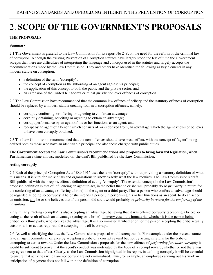### 2. **SCOPE OF THE GOVERNMENT'S PROPOSALS**

#### **THE PROPOSALS**

#### **Summary**

2.1 The Government is grateful to the Law Commission for its report No 248, on the need for the reform of the criminal law of corruption. Although the existing Prevention of Corruption statutes have largely stood the test of time the Government accepts that there are difficulties of interpreting the language and concepts used in the statutes and largely accepts the recommendations made by the Law Commission. They and others have identified the following as key elements in any modern statute on corruption:

- a definition of the term "corruptly";
- $\bullet$  the concept of corruption as the suborning of an agent against his principal;
- $\bullet$  the application of this concept to both the public and the private sector; and
- an extension of the United Kingdom's criminal jurisdiction over offences of corruption.

2.2 The Law Commission have recommended that the common law offence of bribery and the statutory offences of corruption should be replaced by a modern statute creating four new corruption offences, namely:

- corruptly conferring, or offering or agreeing to confer, an advantage;
- corruptly obtaining, soliciting or agreeing to obtain an advantage;
- corrupt performance by an agent of his or her functions as an agent; and
- receipt by an agent of a benefit which consists of, or is derived from, an advantage which the agent knows or believes to have been corruptly obtained.

2.3 The Law Commission recommended that the new offences should have broad effect, with the concept of "agent" being defined both as those who have an identifiable principal and also those charged with public duties.

#### **The Government accepts the Law Commission's recommendations and proposes to bring forward legislation, when Parliamentary time allows, modelled on the draft Bill published by the Law Commission.**

#### **Acting corruptly**

2.4 Each of the principal Corruption Acts 1889-1916 uses the term "corruptly" without providing a statutory definition of what this means. It is vital for individuals and organisations to know exactly what the law requires. The Law Commission's draft Bill, published with their report, offers a definition of acting "corruptly". The essential concept in the Law Commission's proposed definition is that of influencing an agent to act, in the belief that he or she will probably do so *primarily* in return for the conferring of an advantage (offering a bribe) on the agent or a third party. Thus a person who confers an advantage should be regarded as doing so corruptly if he or she intends a person, in performing his or her functions as an agent, to do an act or an omission, and he or she believes that if the person did so, it would probably be *primarily in return for the conferring of the advantage*.

2.5 Similarly, "acting corruptly" is also accepting an advantage, believing that it was offered corruptly (accepting a bribe), or acting as the result of such an advantage (acting on a bribe). In every case, it is immaterial whether it is the person being bribed, or a third party, who receives the advantage. It is also immaterial whether or not the person accepting the bribe actually acts, or fails to act, as required; the accepting in itself is corrupt.

2.6 As well as clarifying the law, the Law Commission's proposal would strengthen it. For example, under the present statute law, an agent commits an offence by accepting a bribe or a corrupt reward but not by acting in return for the bribe or attempting to earn a reward. Under the Law Commission's proposals for the new offence of *performing functions corruptly* it would be sufficient to prove that the agent's conduct was motivated by the *hope* of a corrupt reward, whether or not there was any agreement to that effect. Clearly, as the Law Commission highlighted in its report, in defining corruptly it will be essential to ensure that activities which are not corrupt are not criminalised. Thus, for example, an employee carrying out his work in anticipation of payment does not fall within the definition of corruption.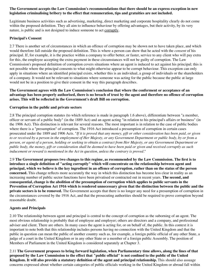#### **The Government accepts the Law Commission's recommendations that there should be an express exception in new legislation criminalising bribery to the effect that remuneration, tips and gratuities are not included.**

Legitimate business activities such as advertising, marketing, direct marketing and corporate hospitality clearly do not come within the proposed definition. They all aim to influence behaviour by offering advantages, but their activity, by its very nature, is public and is not designed to induce someone to act corruptly.

#### **Principal's Consent**

2.7 There is another set of circumstances in which an offence of corruption may be shown not to have taken place, and which would therefore fall outside the proposed definition. This is where a person can show that he acted with the *consent* of his principal. If, for example, it is the practice within a company to offer better, or faster, service to any client who will pay extra for this, the employee accepting the extra payment in these circumstances will not be guilty of corruption. The Law Commission's proposed definition of corruption covers situations where an agent is induced to act against his principal; this is not possible where the principal consents to what might otherwise appear to be corrupt behaviour. This exception can only apply in situations where an identified principal exists, whether this is an individual, a group of individuals or the shareholders of a company. It would not be relevant to situations where someone was acting for the public because the public at large would not be in a position to give their consent in the way this paragraph describes.

**The Government agrees with the Law Commission's conclusion that where the conferment or acceptance of an advantage has been properly authorised, there is no breach of trust by the agent and therefore no offence of corruption arises. This will be reflected in the Government's draft Bill on corruption.**

#### **Corruption in the public and private sectors**

2.8 The principal corruption statutes (to which reference is made in paragraph 1.6 above), differentiate between "a member, officer or servant of a public body" (in the 1889 Act) and an agent acting "in relation to his principal's affairs or business" (in the 1906 Act). This distinction is relevant for several reasons. The most important is in relation to the case of public bodies where there is a "presumption" of corruption. The 1916 Act introduced a presumption of corruption in certain cases prosecuted under the 1889 and 1906 Acts. "*If it is proved that any money, gift or other consideration has been paid, or given to or received by a person in the employment of Her Majesty, or any Government Department or public body, by or from a person, or agent of a person, holding or seeking to obtain a contract from Her Majesty, or any Government Department or public body, the money, gift or consideration shall be deemed to have been paid or given and received corruptly as such inducement or reward is mentioned in the Act in question, unless the contrary is proved*."

2.9 **The Government proposes two changes to this regime, as recommended by the Law Commission. The first is to introduce a single definition of "acting corruptly" which will concentrate on the relationship between agent and principal, which we believe is the key ingredient in an offence of corruption, rather than on the status of the person concerned.** This change reflects more accurately the way in which this distinction has become less clear in reality as an increasing number of public sector functions have been privatised or contracted out in recent years. **The second, and consequential, change is the abolition of the presumption of corruption which applies to public servants in the Prevention of Corruption Act 1916 which is rendered unnecessary given that the distinction between the public and the private sectors is to be removed.** The Government accepts that there is no longer any need for a presumption of corruption in the circumstances covered by the 1916 Act, and that the prosecuting authorities should be required to prove corruption beyond reasonable doubt.

#### **Agents and Principals**

2.10 The relationship between agent and principal is central to the concept of corruption as the suborning of an agent. The most obvious relationship is probably that of employee and employer; others are directors and a company, and professional adviser and client. There are others. In many cases the agent is acting for, or on behalf of, the public. In this context it is important to note both that this relationship includes persons having no connection with the United Kingdom and that the public in question can mean the public of another country such as, for example, a foreign public official of any other State, a judge of a court in the United Kingdom or in any other State or a member of a foreign public Assembly. The position of Members of Parliament in the United Kingdom is considered separately at Chapter 3.

2.11 **The Government proposes to bring forward legislation, when Parliamentary time allows, along the lines of that proposed by the Law Commission to the effect that "public official" is not confined to the public of the United Kingdom. It will also provide a statutory definition of the agent and principal relationship.** This should also assuage concerns expressed about whether certain categories of public officials working in the United Kingdom or abroad fall within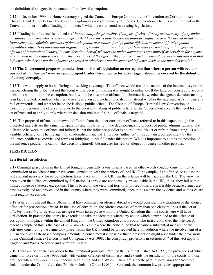the definition of an agent in the context of the law of corruption.

2.12 In December 1999 the Home Secretary signed the Council of Europe Criminal Law Convention on Corruption see Chapter 4 and Annex below. The United Kingdom has not yet formally ratified the Convention. There is a requirement in the Convention to criminalise "trading in influence", which is not covered in existing legislation.

2.13 "Trading in influence" is defined as: "*intentionally, the promising, giving or offering, directly or indirectly, of any undue advantage to anyone who asserts or confirms that he or she is able to exert an improper influence over the decision-making of [domestic public officials, members of domestic public assemblies, foreign public officials, members of foreign public assemblies, officials of international organisations, members of international parliamentary assemblies, and judges and officials of international courts] in consideration thereof, whether the undue advantage is for himself or herself or for anyone else, as well as the request, receipt or the acceptance of the offer or the promise of such an advantage, in consideration of that influence, whether or not the influence is exerted or whether or not the supposed influence leads to the intended result.*"

#### 2.14 **The Government proposes to make clear in its draft legislation on corruption that where a person with real, or purported, "influence" over any public agent trades this influence for advantage it should be covered by the definition of acting corruptly.**

2.15 This would apply to both offering and seeking advantage. The offence would cover the actions of the intermediary or the person offering the bribe, but not the agent whose decision-making it is sought to influence. If the latter, of course, did act on a bribe this would in turn be corruption, but it would be a separate offence. It is immaterial whether the agent's decision-making is in fact affected, or indeed whether he or she is even approached. It is also immaterial whether the intermediary's influence is real or pretended, and whether he or she is also a public official. The Council of Europe Criminal Law Convention on Corruption requires the offence to relate to the decision-making of public officials. The Government accepts the need for such an offence and to apply it only where the decision-making of public officials is targeted.

2.16. The proposed offence is somewhat different from the other corruption offences referred to in this paper, though the protected interests are the same; transparency and impartiality in the decision-making process of public administrations. The difference between this offence and bribery is that the influence peddler is not required "to act or refrain from acting" as would a public official, nor is he the agent of an identified principal. Improper "influence" must contain a corrupt intent by the influence peddler: acknowledged forms of lobbying do not fall under this notion. What is important to note is the position of the influence peddler: he cannot take decisions himself, but misuses his real or alleged influence on other persons.

#### **JURISDICTION**

#### **Territorial Jurisdiction**

2.17 Criminal jurisdiction in the United Kingdom generally is territorially based, in other words conduct constituting the commission of an offence must have some connection with the territory of the UK. For example, if an offence, or at least the last element necessary for its completion, takes place within the UK then the offence will be triable in the UK. The view has been taken that offences committed by UK nationals abroad are not normally prosecutable in the UK, unless they fall within a limited range of statutory exceptions. This is based on the view that territorial prosecutions are preferable because crimes are best investigated and prosecuted in the country where they were committed, since that is where the evidence and witnesses are most readily accessible.

2.18 Where it is alleged that a UK national has committed an offence abroad we would consider the extradition of the alleged offender for prosecution abroad. In the case of corruption, the offence consists of more than one element; thus if the act of *offering, accepting or agreeing to accept a bribe* takes place within the United Kingdom then the courts here will have jurisdiction. In practice the courts have tended to take the view that where any action which contributed to the offence of corruption took place within the United Kingdom, the United Kingdom courts could take jurisdiction over the offence. A recent example of this is the case of *R v- Van Der Horst* where the court ruled that because a substantial measure of the activities constituting the crime took place within the UK it could be prosecuted here. In addition where the involvement of a UK national or a UK-based company amounts to conspiracy it is possible that a prosecution might arise under the provisions of the Criminal Justice (Terrorism and Conspiracy) Act 1998. The conspiracy provisions in sections 5 7 of this Act apply to England and Wales, Scotland and Northern Ireland.

2.19 There are of course exceptions to this territorial principle. Part I of the Criminal Justice Act 1993, the provisions of which came into force on 1 June 1999, deals with various offences of dishonesty, and extends the jurisdiction of the courts to those offences where any *relevant event* occurs within England and Wales. (There are separate parallel provisions for Northern Ireland under the Criminal Justice (Northern Ireland) Order 1996.) In Scotland, the common law provides appropriate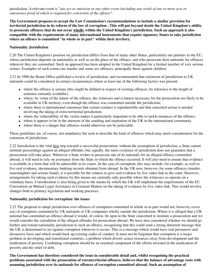jurisdiction. A relevant event is "*any act or omission or any other event (including any result of one or more acts or omissions) proof of which is required for conviction of the offence*".

**The Government proposes to accept the Law Commission's recommendations to include a similar provision for territorial jurisdiction in its reform of the law of corruption . This will put beyond doubt the United Kingdom's ability to prosecute offences that do not occur wholly within the United Kingdom's jurisdiction. Such an approach is also compatible with the requirements of many international instruments that require signatory States to take jurisdiction where an offence is committed "in whole or in part" within their territory.**

#### **Nationality Jurisdiction**

2.20 The United Kingdom's position on jurisdiction differs from that of many other States, particularly our partners in the EU, whose jurisdiction depends on nationality as well as on the place of the offence, and who prosecute their nationals for offences wherever they are committed. Such an approach has been adopted in the United Kingdom for a limited number of very serious crimes. Examples of such crimes are murder and some sex offences, principally those against children.

2.21 In 1996 the Home Office published a review of jurisdiction, and recommended that extension of jurisdiction to UK nationals could be considered in certain circumstances where at least one of the following factors was present:

- where the offence is serious (this might be defined in respect of existing offences, by reference to the length of sentence currently available);
- where, by virtue of the nature of the offence, the witnesses and evidence necessary for the prosecution are likely to be available in UK territory, even though the offence was committed outside the jurisdiction;
- where there is international consensus that certain conduct is reprehensible and that concerted action is needed involving the taking of extra-territorial jurisdiction;
- where the vulnerability of the victim makes it particularly important to be able to tackle instances of the offence;
- where it appears to be in the interests of the standing and reputation of the UK in the international community.
- where there is a danger that offences would otherwise not be justiciable.

These guidelines are, of course, not mandatory but seek to describe the kind of offences which may merit consideration for the extension of jurisdiction.

2.22 Jurisdiction is the vital first step towards a successful prosecution; without the assumption of jurisdiction, a State cannot institute proceedings against an alleged offender, but, equally, the mere existence of jurisdiction does not guarantee that a prosecution will take place. Wherever a State wishes to prosecute one of its nationals for an alleged offence committed abroad, it will need to rely on assistance from the State in which the offence occurred. It will also need to ensure that evidence is available in a form that will be admissible in its courts. In the case of corruption, this may include, for example, as well as live oral evidence, documentary banking records obtained from abroad. In the UK now, however, for some offences (murder, manslaughter and serious fraud), it is possible for the witness to give oral evidence by live video link to the court. However, arrangements for taking such evidence by this means are currently only possible where the witnesses co-operate on a voluntary basis. Consideration is also being given to the means by which the UK will implement the requirements of the EU Convention on Mutual Legal Assistance in Criminal Matters on the taking of evidence by live video link. This would involve changes both to primary legislation and working practices.

#### **Nationality jurisdiction for corruption: the issues**

2.23 The proposal to adopt jurisdiction over offences of corruption committed in whole or in part would not, however, cover acts of corruption committed by UK nationals or UK companies wholly outside the jurisdiction. Where it is alleged that a UK national has committed an offence abroad it would, of course, be open to the State concerned to institute a prosecution and we would consider the extradition of the alleged offender for prosecution abroad. We have also considered whether we should go further and extend nationality jurisdiction to such an offence, recognising that this could send a strong deterrent message that the UK is determined to act against corruption wherever it occurs. This is a message which would have real persuasive and dissuasive force and which would back up existing codes of conduct. It must not be forgotten that corruption is a major problem in developing and transitional countries, a problem which diverts scarce resources away from development and the eradication of poverty. Combating corruption should be an essential component of the efforts invested in the eradication of poverty and the relief of debt.

**The Government has therefore considered the issue in considerable detail and, whilst recognising the practical problems associated with the prosecution of extraterritorial offences, believes that the balance of advantage rests with assuming jurisdiction over its nationals for offences of corruption committed abroad. Such an assumption of**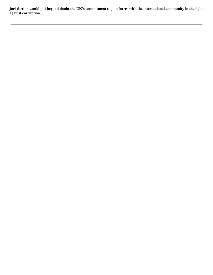**jurisdiction would put beyond doubt the UK's commitment to join forces with the international community in the fight against corruption.**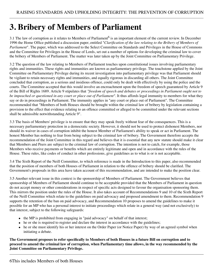### **3. Bribery of Members of Parliament**

3.1 The law of corruption as it relates to Members of Parliament<sup>6</sup> is an important element of the current review. In December 1996 the Home Office published a discussion paper, entitled "*Clarification of the law relating to the Bribery of Members of Parliament*". The paper, which was addressed to the Select Committee on Standards and Privileges in the House of Commons and the Committee for Privileges in the House of Lords, set out a number of options for developing the criminal law to cover the bribery of Members of Parliament. The matter was later taken up by the Joint Committee on Parliamentary Privilege.

3.2 The question of the law relating to Members of Parliament touches upon constitutional issues involving parliamentary rights and immunities. These rights and immunities are known as parliamentary privilege. The touchstone applied by the Joint Committee on Parliamentary Privilege during its recent investigation into parliamentary privilege was that Parliament should be vigilant to retain necessary rights and immunities, and equally rigorous in discarding all others. The Joint Committee concluded that corruption, as a serious and insidious offence, could only be dealt with effectively by using the police and the courts. The Committee accepted that this would involve an encroachment upon the freedom of speech guaranteed by Article 9 of the Bill of Rights 1689. Article 9 stipulates that *"freedom of speech and debates or proceedings in Parliament ought not to be impeached or questioned in any court or place out of Parliament".* It thus affords legal immunity to members for what they say or do in proceedings in Parliament. The immunity applies in "any court or place out of Parliament"*.* The Committee recommended that "Members of both Houses should be brought within the criminal law of bribery by legislation containing a provision to the effect that evidence relating to an offence committed or alleged to be committed under the relevant sections shall be admissible notwithstanding Article 9".

3.3 The basis of Members' privilege is to ensure that they may speak freely without fear of the consequences. This is a necessary parliamentary protection in a democratic society. However, it should not be used to protect dishonest Members, nor should its waiver in cases of corruption inhibit the honest Member of Parliament's ability to speak or act in Parliament. The honest Member has nothing to fear from being subject to the criminal law of bribery. The Government therefore accepts the recommendation of the Joint Committee in this regard and believes that it is essential that any new statute should make it clear that Members and Peers are subject to the criminal law of corruption. The intention is not to catch, for example, those Members who receive payments or benefits which are entirely legitimate and open and in accordance with the rules of the House. These rules, like codes of conduct in other professions, give guidelines as to what is or is not acceptable.

3.4 The Sixth Report of the Neill Committee, to which reference is made in the Introduction to this paper, also recommended that the position of members of both Houses of Parliament in relation to the offence of bribery should be clarified. The Government's proposals in this area have taken account of this recommendation, and are intended to make the position clear.

3.5 Another relevant issue in this context is the sponsorship of Members of Parliament. The Government believes that sponsorship of Members of Parliament should continue to be acceptable provided that the Members of Parliament in question do not accept money or other considerations in respect of specific acts designed to favour the organisation sponsoring them. This mirrors the position under the rules of the House. It also takes account of Recommendations 9 and 10 of the Sixth Report of the Neill Committee which relate to the guidelines on paid advocacy and proposed amendment to them. Recommendation 9 supports the retention of the ban on paid advocacy, and Recommendation 10 proposes to amend the guidelines to make it possible for an MP who has a personal interest to initiate proceedings which relate in a general way (and not exclusively) to that interest, subject to the following safeguards:

- $\bullet$  the MP is prohibited from engaging in "paid advocacy" on behalf of that interest;
- he or she is required to register and declare the interest in accordance with the guidelines;
- he or she must identify his or her interest on the Order Paper (or Notice Paper) by way of an agreed symbol when initiating a debate.

**The Government proposes to refer specifically to Members of both Houses in a future Bill on corruption and to proceed to amend the criminal law of corruption, when Parliamentary time allows, in the way recommended by the Joint Committee on Parliamentary Privilege.**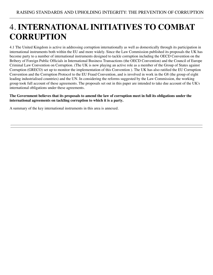### 4. **INTERNATIONAL INITIATIVES TO COMBAT CORRUPTION**

4.1 The United Kingdom is active in addressing corruption internationally as well as domestically through its participation in international instruments both within the EU and more widely. Since the Law Commission published its proposals the UK has become party to a number of international instruments designed to tackle corruption including the OECD Convention on the Bribery of Foreign Public Officials in International Business Transactions (the OECD Convention) and the Council of Europe Criminal Law Convention on Corruption. (The UK is now playing an active role as a member of the Group of States against Corruption (GRECO) set up to monitor the implementation of this Convention ). The UK has also ratified the EU Corruption Convention and the Corruption Protocol to the EU Fraud Convention, and is involved in work in the G8 (the group of eight leading industrialised countries) and the UN. In considering the reforms suggested by the Law Commission, the working group took full account of these agreements. The proposals set out in this paper are intended to take due account of the UK's international obligations under these agreements.

#### **The Government believes that its proposals to amend the law of corruption meet in full its obligations under the international agreements on tackling corruption to which it is a party.**

A summary of the key international instruments in this area is annexed.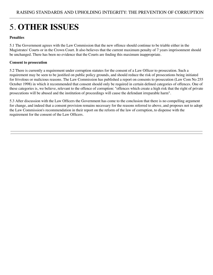### 5. **OTHER ISSUES**

#### **Penalties**

5.1 The Government agrees with the Law Commission that the new offence should continue to be triable either in the Magistrates' Courts or in the Crown Court. It also believes that the current maximum penalty of 7 years imprisonment should be unchanged. There has been no evidence that the Courts are finding this maximum inappropriate.

#### **Consent to prosecution**

5.2 There is currently a requirement under corruption statutes for the consent of a Law Officer to prosecution. Such a requirement may be seen to be justified on public policy grounds, and should reduce the risk of prosecutions being initiated for frivolous or malicious reasons. The Law Commission has published a report on consents to prosecution (Law Com No 255 October 1998) in which it recommended that consent should only be required in certain defined categories of offences. One of these categories is, we believe, relevant to the offence of corruption: "offences which create a high risk that the right of private prosecutions will be abused and the institution of proceedings will cause the defendant irreparable harm".

5.3 After discussion with the Law Officers the Government has come to the conclusion that there is no compelling argument for change, and indeed that a consent provision remains necessary for the reasons referred to above, and proposes not to adopt the Law Commission's recommendation in their report on the reform of the law of corruption, to dispense with the requirement for the consent of the Law Officers.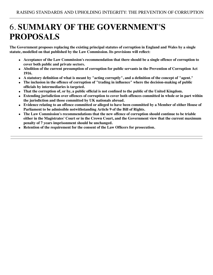### 6. **SUMMARY OF THE GOVERNMENT'S PROPOSALS**

**The Government proposes replacing the existing principal statutes of corruption in England and Wales by a single statute, modelled on that published by the Law Commission. Its provisions will reflect:**

- **Acceptance of the Law Commission's recommendation that there should be a single offence of corruption to cover both public and private sectors.**
- **Abolition of the current presumption of corruption for public servants in the Prevention of Corruption Act 1916.**
- **A statutory definition of what is meant by "acting corruptly", and a definition of the concept of "agent."**
- **The inclusion in the offence of corruption of "trading in influence" where the decision-making of public officials by intermediaries is targeted.**
- **That the corruption of, or by, a public official is not confined to the public of the United Kingdom.**
- **Extending jurisdiction over offences of corruption to cover both offences committed in whole or in part within the jurisdiction and those committed by UK nationals abroad.**
- **Evidence relating to an offence committed or alleged to have been committed by a Member of either House of Parliament to be admissible notwithstanding Article 9 of the Bill of Rights.**
- **The Law Commission's recommendations that the new offence of corruption should continue to be triable either in the Magistrates' Court or in the Crown Court, and the Government view that the current maximum penalty of 7 years imprisonment should be unchanged.**
- **Retention of the requirement for the consent of the Law Officers for prosecution.**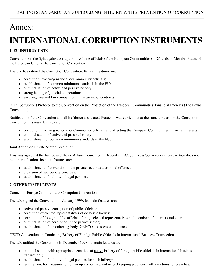### Annex:

## **INTERNATIONAL CORRUPTION INSTRUMENTS**

#### **1. EU INSTRUMENTS**

Convention on the fight against corruption involving officials of the European Communities or Officials of Member States of the European Union (The Corruption Convention)

The UK has ratified the Corruption Convention. Its main features are:

- corruption involving national or Community officials;
- establishment of common minimum standards in the EU;
- criminalisation of active and passive bribery;
- strengthening of judicial cooperation;
- ensuring free and fair competition in the award of contracts.

First (Corruption) Protocol to the Convention on the Protection of the European Communities' Financial Interests (The Fraud Convention)

Ratification of the Convention and all its (three) associated Protocols was carried out at the same time as for the Corruption Convention. Its main features are:

- corruption involving national or Community officials and affecting the European Communities' financial interests;
- criminalisation of active and passive bribery;
- establishment of common minimum standards in the EU.

Joint Action on Private Sector Corruption

This was agreed at the Justice and Home Affairs Council on 3 December 1998; unlike a Convention a Joint Action does not require ratification. Its main features are:

- establishment of corruption in the private sector as a criminal offence;
- provision of appropriate penalties;
- establishment of liability of legal persons.

#### **2. OTHER INSTRUMENTS**

Council of Europe Criminal Law Corruption Convention

The UK signed the Convention in January 1999. Its main features are:

- active and passive corruption of public officials;
- corruption of elected representatives of domestic bodies;
- corruption of foreign public officials, foreign elected representatives and members of international courts;
- criminalisation of corruption in the private sector;
- establishment of a monitoring body GRECO to assess compliance.

OECD Convention on Combating Bribery of Foreign Public Officials in International Business Transactions

The UK ratified the Convention in December 1998. Its main features are:

- criminalisation, with appropriate penalties, of active bribery of foreign public officials in international business transactions;
- establishment of liability of legal persons for such bribery;
- requirement for measures to tighten up accounting and record keeping practices, with sanctions for breaches;